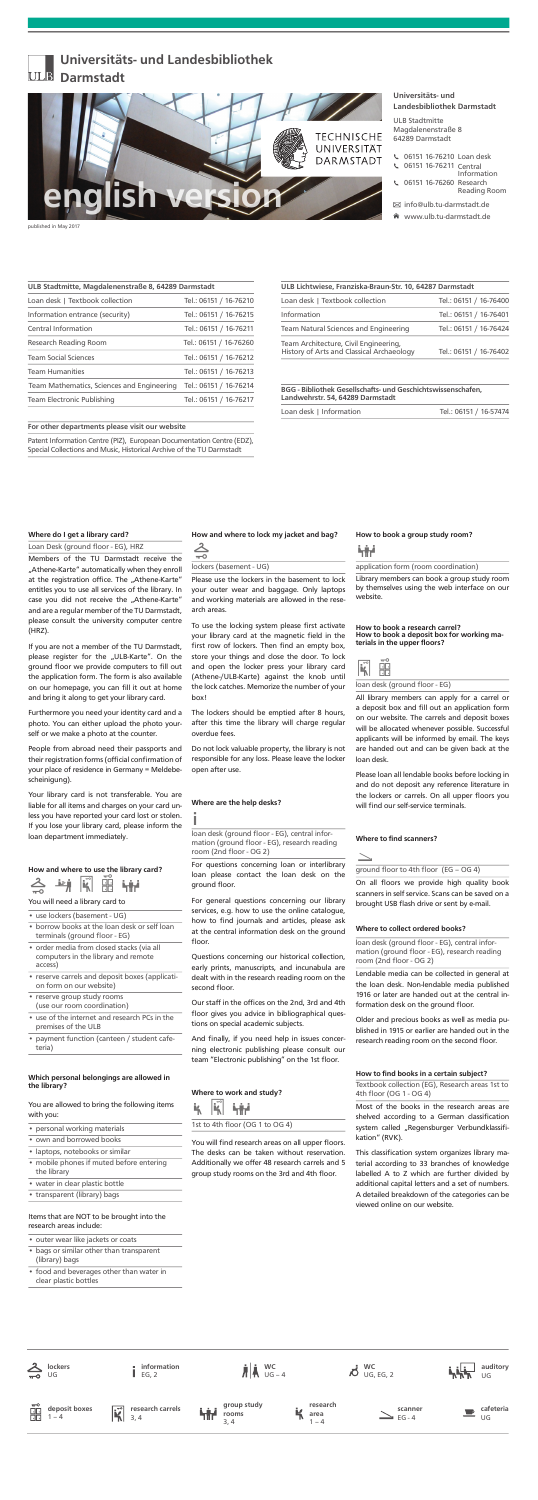## Universitäts- und Landesbibliothek Darmstadt

### Where do I get a library card?

#### Loan Desk (ground floor - EG), HRZ

Members of the TU Darmstadt receive the "Athene-Karte" automatically when they enroll at the registration office. The "Athene-Karte" entitles you to use all services of the library. In case you did not receive the "Athene-Karte" and are a regular member of the TU Darmstadt, please consult the university computer centre (HRZ).

If you are not a member of the TU Darmstadt, please register for the "ULB-Karte". On the ground floor we provide computers to fill out the application form. The form is also available on our homepage, you can fill it out at home and bring it along to get your library card.

Furthermore you need your identity card and a photo. You can either upload the photo yourself or we make a photo at the counter.

People from abroad need their passports and their registration forms (official confirmation of your place of residence in Germany = Meldebescheinigung).

Your library card is not transferable. You are

liable for all items and charges on your card unless you have reported your card lost or stolen. If you lose your library card, please inform the loan department immediately.

#### How and where to use the library card?



#### You will need a library card to

#### • use lockers (basement - UG)

To use the locking system please first activate your library card at the magnetic field in the first row of lockers. Then find an empty box, store your things and close the door. To lock and open the locker press your library card (Athene-/ULB-Karte) against the knob until the lock catches. Memorize the number of your box!

The lockers should be emptied after 8 hours, after this time the library will charge regular overdue fees.

Do not lock valuable property, the library is not responsible for any loss. Please leave the locker open after use.

#### Where are the help desks?

ºI

loan desk (ground floor - EG), central information (ground floor - EG), research reading room (2nd floor - OG 2)

- • borrow books at the loan desk or self loan terminals (ground floor - EG)
- order media from closed stacks (via all computers in the library and remote access)
- • reserve carrels and deposit boxes (application form on our website)
- • reserve group study rooms (use our room coordination)
- • use of the internet and research PCs in the premises of the ULB
- • payment function (canteen / student cafeteria)

For questions concerning loan or interlibrary loan please contact the loan desk on the ground floor.

For general questions concerning our library services, e.g. how to use the online catalogue, how to find journals and articles, please ask at the central information desk on the ground floor.

Questions concerning our historical collection, early prints, manuscripts, and incunabula are dealt with in the research reading room on the second floor.

#### Which personal belongings are allowed in the library?

#### You are allowed to bring the following items with you:

Our staff in the offices on the 2nd, 3rd and 4th floor gives you advice in bibliographical questions on special academic subjects.

And finally, if you need help in issues concerning electronic publishing please consult our team "Electronic publishing" on the 1st floor.

- •personal working materials
- •own and borrowed books
- •laptops, notebooks or similar
- • mobile phones if muted before entering the library
- •water in clear plastic bottle
- •<sup>t</sup>ransparent (library) bags

#### Items that are NOT to be brought into the research areas include:

#### How to book a research carrel? How to book a deposit box for working materials in the upper floors?

- outer wear like jackets or coats
- • bags or similar other than transparent (library) bags
- • food and beverages other than water in clear plastic bottles

#### How and where to lock my jacket and bag?

| $\pi$ -O                |
|-------------------------|
| lockers (basement - UG) |

Please loan all lendable books before locking in and do not deposit any reference literature in the lockers or carrels. On all upper floors you will find our self-service terminals.

Please use the lockers in the basement to lock your outer wear and baggage. Only laptops and working materials are allowed in the research areas.

> Lendable media can be collected in general at the loan desk. Non-lendable media published 1916 or later are handed out at the central information desk on the ground floor.

> Older and precious books as well as media published in 1915 or earlier are handed out in the research reading room on the second floor.

#### How to find books in a certain subject?

Textbook collection (EG), Research areas 1st to 4th floor (OG 1 - OG 4)

This classification system organizes library material according to 33 branches of knowledge labelled A to Z which are further divided by additional capital letters and a set of numbers. A detailed breakdown of the categories can be viewed online on our website.

- 06151 16-76210 Loan desk
- 06151 16-76211 Central Information
	- 06151 16-76260 Research Reading Room

#### Where to work and study?



You will find research areas on all upper floors. The desks can be taken without reservation. Additionally we offer 48 research carrels and 5 group study rooms on the 3rd and 4th floor.

#### Where to find scanners?

 $\geq$ 

ground floor to 4th floor  $(EG - OG 4)$ 

On all floors we provide high quality book scanners in self service. Scans can be saved on a brought USB flash drive or sent by e-mail.

#### How to book a group study room?

### ∫

## application form (room coordination)

Library members can book a group study room by themselves using the web interface on our website.



loan desk (ground floor - EG)

All library members can apply for a carrel or a deposit box and fill out an application form on our website. The carrels and deposit boxes will be allocated whenever possible. Successful applicants will be informed by email. The keys are handed out and can be given back at the loan desk.

#### Where to collect ordered books?

loan desk (ground floor - EG), central information (ground floor - EG), research reading room (2nd floor - OG 2)

Most of the books in the research areas are shelved according to a German classification system called "Regensburger Verbundklassifikation" (RVK).

Universitäts- und Landesbibliothek Darmstadt

info@ulb.tu-darmstadt.de

www.ulb.tu-darmstadt.de



ULB Stadtmitte Magdalenenstraße 8 64289 Darmstadt

| $\sum_{\nu \in \mathcal{C}}$ | lockers               | information<br>EG, 2                           | $\mathbf{A}$ $\mathbf{W}$ $\mathbf{C}$<br>$\mathbf{W}$ $\mathbf{C}$ |   |                          | WC<br>$\overline{M}$ UG, EG, 2 |                     | لبرنا بالم<br>مواليد | auditory<br>UG  |
|------------------------------|-----------------------|------------------------------------------------|---------------------------------------------------------------------|---|--------------------------|--------------------------------|---------------------|----------------------|-----------------|
| 副                            | deposit boxes<br>$-4$ | research carrels<br>$\vec{\mathbf{K}}$<br>3, 4 | group study<br>Till room                                            | K | research<br>area<br>$-4$ |                                | scanner<br>$EG - 4$ |                      | cafeteria<br>UG |

| ULB Stadtmitte, Magdalenenstraße 8, 64289 Darmstadt |  |  |  |  |  |
|-----------------------------------------------------|--|--|--|--|--|
| Tel.: 06151 / 16-76210                              |  |  |  |  |  |
| Tel.: 06151 / 16-76215                              |  |  |  |  |  |
| Tel.: 06151 / 16-76211                              |  |  |  |  |  |
| Tel.: 06151 / 16-76260                              |  |  |  |  |  |
| Tel.: 06151 / 16-76212                              |  |  |  |  |  |
| Tel.: 06151 / 16-76213                              |  |  |  |  |  |
| Tel.: 06151 / 16-76214                              |  |  |  |  |  |
| Tel.: 06151 / 16-76217                              |  |  |  |  |  |
|                                                     |  |  |  |  |  |

#### For other departments please visit our website

Patent Information Centre (PIZ), European Documentation Centre (EDZ), Special Collections and Music, Historical Archive of the TU Darmstadt

| Loan desk   Textbook collection                                                    | Tel.: 06151 / 16-76400 |
|------------------------------------------------------------------------------------|------------------------|
| Information                                                                        | Tel.: 06151 / 16-76401 |
| <b>Team Natural Sciences and Engineering</b>                                       | Tel.: 06151 / 16-76424 |
| Team Architecture, Civil Engineering,<br>History of Arts and Classical Archaeology | Tel.: 06151 / 16-76402 |
|                                                                                    |                        |

BGG - Bibliothek Gesellschafs- und Geschichtswissenschafen, Landwehrstr. 54, 64289 Darmstadt

| Loan desk   Information | Tel.: 06151 / 16-57474 |  |
|-------------------------|------------------------|--|
|                         |                        |  |